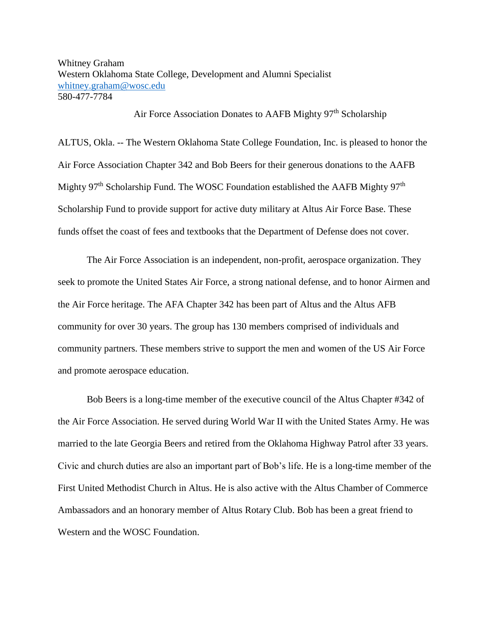Whitney Graham Western Oklahoma State College, Development and Alumni Specialist [whitney.graham@wosc.edu](mailto:whitney.graham@wosc.edu) 580-477-7784

Air Force Association Donates to AAFB Mighty 97<sup>th</sup> Scholarship

ALTUS, Okla. -- The Western Oklahoma State College Foundation, Inc. is pleased to honor the Air Force Association Chapter 342 and Bob Beers for their generous donations to the AAFB Mighty 97<sup>th</sup> Scholarship Fund. The WOSC Foundation established the AAFB Mighty 97<sup>th</sup> Scholarship Fund to provide support for active duty military at Altus Air Force Base. These funds offset the coast of fees and textbooks that the Department of Defense does not cover.

The Air Force Association is an independent, non-profit, aerospace organization. They seek to promote the United States Air Force, a strong national defense, and to honor Airmen and the Air Force heritage. The AFA Chapter 342 has been part of Altus and the Altus AFB community for over 30 years. The group has 130 members comprised of individuals and community partners. These members strive to support the men and women of the US Air Force and promote aerospace education.

Bob Beers is a long-time member of the executive council of the Altus Chapter #342 of the Air Force Association. He served during World War II with the United States Army. He was married to the late Georgia Beers and retired from the Oklahoma Highway Patrol after 33 years. Civic and church duties are also an important part of Bob's life. He is a long-time member of the First United Methodist Church in Altus. He is also active with the Altus Chamber of Commerce Ambassadors and an honorary member of Altus Rotary Club. Bob has been a great friend to Western and the WOSC Foundation.